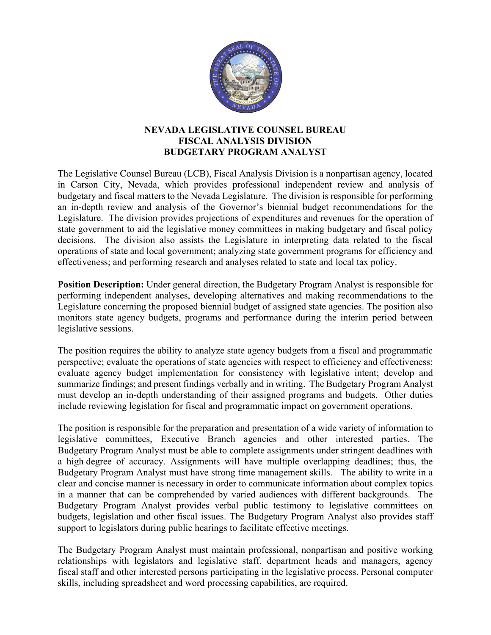

## **NEVADA LEGISLATIVE COUNSEL BUREAU FISCAL ANALYSIS DIVISION BUDGETARY PROGRAM ANALYST**

The Legislative Counsel Bureau (LCB), Fiscal Analysis Division is a nonpartisan agency, located in Carson City, Nevada, which provides professional independent review and analysis of budgetary and fiscal matters to the Nevada Legislature. The division is responsible for performing an in-depth review and analysis of the Governor's biennial budget recommendations for the Legislature. The division provides projections of expenditures and revenues for the operation of state government to aid the legislative money committees in making budgetary and fiscal policy decisions. The division also assists the Legislature in interpreting data related to the fiscal operations of state and local government; analyzing state government programs for efficiency and effectiveness; and performing research and analyses related to state and local tax policy.

**Position Description:** Under general direction, the Budgetary Program Analyst is responsible for performing independent analyses, developing alternatives and making recommendations to the Legislature concerning the proposed biennial budget of assigned state agencies. The position also monitors state agency budgets, programs and performance during the interim period between legislative sessions.

The position requires the ability to analyze state agency budgets from a fiscal and programmatic perspective; evaluate the operations of state agencies with respect to efficiency and effectiveness; evaluate agency budget implementation for consistency with legislative intent; develop and summarize findings; and present findings verbally and in writing. The Budgetary Program Analyst must develop an in-depth understanding of their assigned programs and budgets. Other duties include reviewing legislation for fiscal and programmatic impact on government operations.

The position is responsible for the preparation and presentation of a wide variety of information to legislative committees, Executive Branch agencies and other interested parties. The Budgetary Program Analyst must be able to complete assignments under stringent deadlines with a high degree of accuracy. Assignments will have multiple overlapping deadlines; thus, the Budgetary Program Analyst must have strong time management skills. The ability to write in a clear and concise manner is necessary in order to communicate information about complex topics in a manner that can be comprehended by varied audiences with different backgrounds. The Budgetary Program Analyst provides verbal public testimony to legislative committees on budgets, legislation and other fiscal issues. The Budgetary Program Analyst also provides staff support to legislators during public hearings to facilitate effective meetings.

The Budgetary Program Analyst must maintain professional, nonpartisan and positive working relationships with legislators and legislative staff, department heads and managers, agency fiscal staff and other interested persons participating in the legislative process. Personal computer skills, including spreadsheet and word processing capabilities, are required.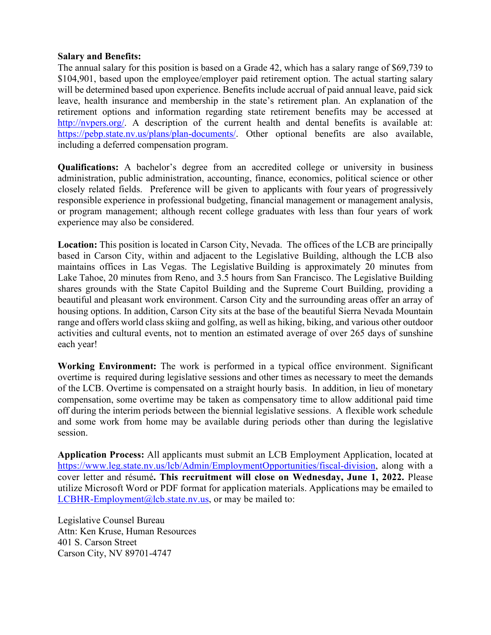## **Salary and Benefits:**

The annual salary for this position is based on a Grade 42, which has a salary range of \$69,739 to \$104,901, based upon the employee/employer paid retirement option. The actual starting salary will be determined based upon experience. Benefits include accrual of paid annual leave, paid sick leave, health insurance and membership in the state's retirement plan. An explanation of the retirement options and information regarding state retirement benefits may be accessed at [http://nvpers.org/.](http://nvpers.org/) A description of the current health and dental benefits is available at: [https://pebp.state.nv.us/plans/plan-documents/.](https://pebp.state.nv.us/plans/plan-documents/) Other optional benefits are also available, including a deferred compensation program.

**Qualifications:** A bachelor's degree from an accredited college or university in business administration, public administration, accounting, finance, economics, political science or other closely related fields. Preference will be given to applicants with four years of progressively responsible experience in professional budgeting, financial management or management analysis, or program management; although recent college graduates with less than four years of work experience may also be considered.

**Location:** This position is located in Carson City, Nevada. The offices of the LCB are principally based in Carson City, within and adjacent to the Legislative Building, although the LCB also maintains offices in Las Vegas. The Legislative Building is approximately 20 minutes from Lake Tahoe, 20 minutes from Reno, and 3.5 hours from San Francisco. The Legislative Building shares grounds with the State Capitol Building and the Supreme Court Building, providing a beautiful and pleasant work environment. Carson City and the surrounding areas offer an array of housing options. In addition, Carson City sits at the base of the beautiful Sierra Nevada Mountain range and offers world class skiing and golfing, as well as hiking, biking, and various other outdoor activities and cultural events, not to mention an estimated average of over 265 days of sunshine each year!

**Working Environment:** The work is performed in a typical office environment. Significant overtime is required during legislative sessions and other times as necessary to meet the demands of the LCB. Overtime is compensated on a straight hourly basis. In addition, in lieu of monetary compensation, some overtime may be taken as compensatory time to allow additional paid time off during the interim periods between the biennial legislative sessions. A flexible work schedule and some work from home may be available during periods other than during the legislative session.

**Application Process:** All applicants must submit an LCB Employment Application, located at [https://www.leg.state.nv.us/lcb/Admin/EmploymentOpportunities/fiscal-division,](https://www.leg.state.nv.us/lcb/Admin/EmploymentOpportunities/fiscal-division) along with a cover letter and résumé**. This recruitment will close on Wednesday, June 1, 2022.** Please utilize Microsoft Word or PDF format for application materials. Applications may be emailed to [LCBHR-Employment@lcb.state.nv.us,](mailto:LCBHR-Employment@lcb.state.nv.us) or may be mailed to:

Legislative Counsel Bureau Attn: Ken Kruse, Human Resources 401 S. Carson Street Carson City, NV 89701-4747